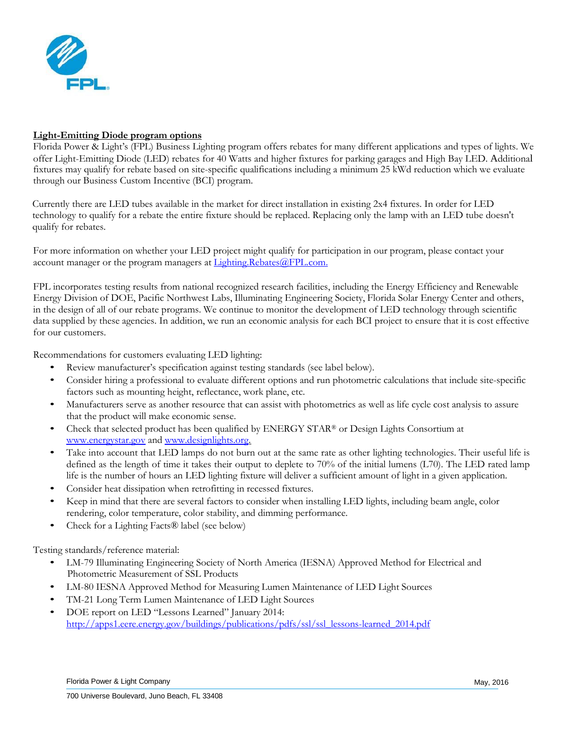

# **Light-Emitting Diode program options**

Florida Power & Light's (FPL) Business Lighting program offers rebates for many different applications and types of lights. We offer Light-Emitting Diode (LED) rebates for 40 Watts and higher fixtures for parking garages and High Bay LED. Additional fixtures may qualify for rebate based on site-specific qualifications including a minimum 25 kWd reduction which we evaluate through our Business Custom Incentive (BCI) program.

Currently there are LED tubes available in the market for direct installation in existing 2x4 fixtures. In order for LED technology to qualify for a rebate the entire fixture should be replaced. Replacing only the lamp with an LED tube doesn't qualify for rebates.

For more information on whether your LED project might qualify for participation in our program, please contact your account manager or the program managers at **Lighting.Rebates@FPL.com.** 

FPL incorporates testing results from national recognized research facilities, including the Energy Efficiency and Renewable Energy Division of DOE, Pacific Northwest Labs, Illuminating Engineering Society, Florida Solar Energy Center and others, in the design of all of our rebate programs. We continue to monitor the development of LED technology through scientific data supplied by these agencies. In addition, we run an economic analysis for each BCI project to ensure that it is cost effective for our customers.

Recommendations for customers evaluating LED lighting:

- Review manufacturer's specification against testing standards (see label below).
- Consider hiring a professional to evaluate different options and run photometric calculations that include site-specific factors such as mounting height, reflectance, work plane, etc.
- [Manufacturers](http://www.energystar.gov/) serve as another [resource](http://www.designlights.org/) that can assist with photometrics as well as life cycle cost analysis to assure that the product will make economic sense.
- Check that selected product has been qualified by ENERGY STAR® or Design Lights Consortium at [www.energystar.gov](http://www.energystar.gov/) an[d www.designlights.org.](http://www.designlights.org/)
- Take into account that LED lamps do not burn out at the same rate as other lighting technologies. Their useful life is defined as the length of time it takes their output to deplete to 70% of the initial lumens (L70). The LED rated lamp life is the number of hours an LED lighting fixture will deliver a sufficient amount of light in a given application.
- Consider heat dissipation when retrofitting in recessed fixtures.
- Keep in mind that there are several factors to consider when installing LED lights, including beam angle, color rendering, color temperature, color stability, and dimming performance.
- Check for a Lighting Facts® label (see below)

Testing standards/reference material:

- LM-79 Illuminating Engineering Society of North America (IESNA) Approved Method for Electrical and Photometric Measurement of SSL Products
- LM-80 IESNA Approved Method for Measuring Lumen Maintenance of LED Light Sources
- TM-21 Long Term Lumen Maintenance of LED Light Sources
- DOE report on LED "Lessons Learned" January 2014: [http://apps1.eere.energy.gov/buildings/publications/pdfs/ssl/ssl\\_lessons-learned\\_2014.pdf](http://apps1.eere.energy.gov/buildings/publications/pdfs/ssl/ssl_lessons-learned_2014.pdf)